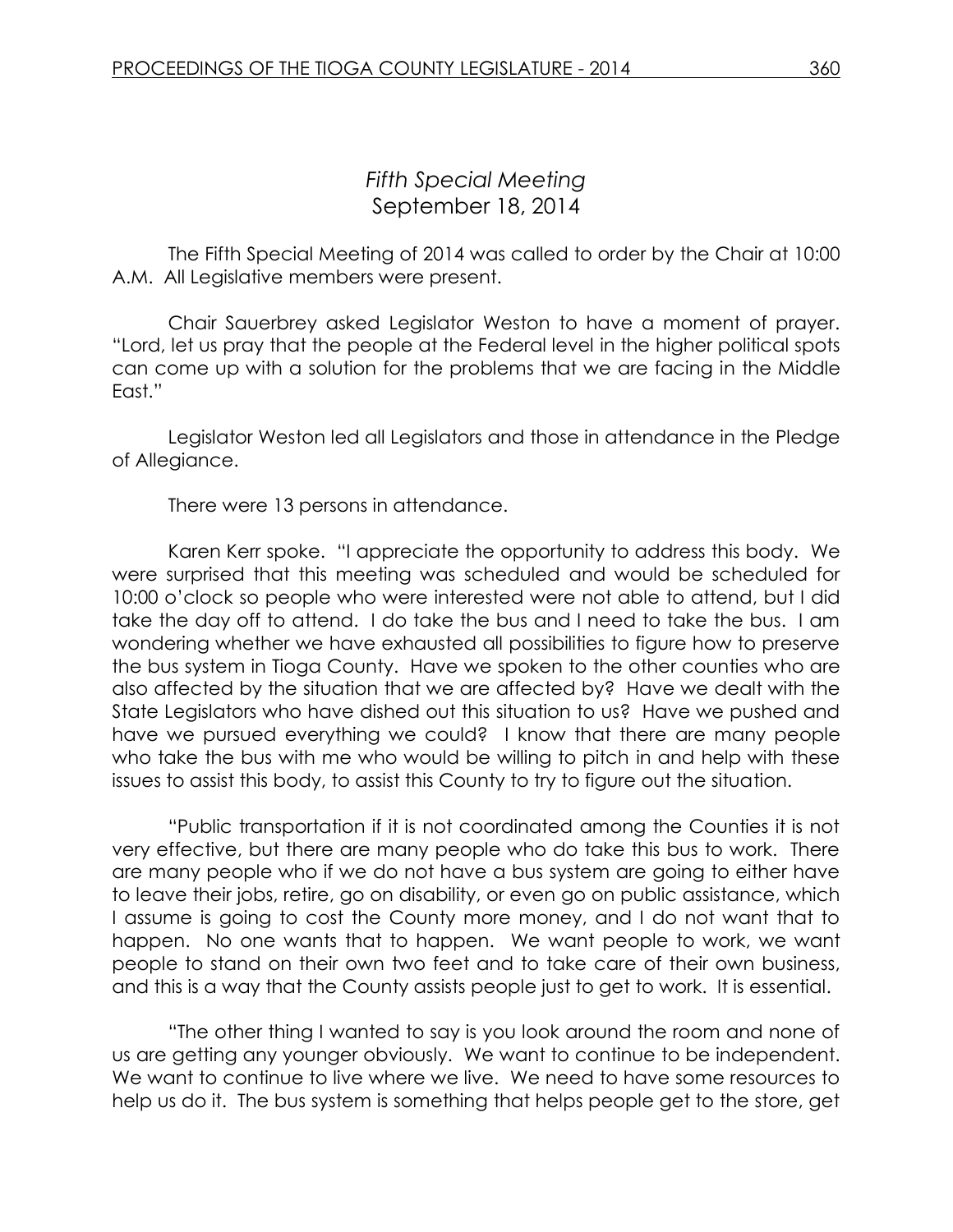## *Fifth Special Meeting* September 18, 2014

The Fifth Special Meeting of 2014 was called to order by the Chair at 10:00 A.M. All Legislative members were present.

Chair Sauerbrey asked Legislator Weston to have a moment of prayer. "Lord, let us pray that the people at the Federal level in the higher political spots can come up with a solution for the problems that we are facing in the Middle East."

Legislator Weston led all Legislators and those in attendance in the Pledge of Allegiance.

There were 13 persons in attendance.

Karen Kerr spoke. "I appreciate the opportunity to address this body. We were surprised that this meeting was scheduled and would be scheduled for 10:00 o'clock so people who were interested were not able to attend, but I did take the day off to attend. I do take the bus and I need to take the bus. I am wondering whether we have exhausted all possibilities to figure how to preserve the bus system in Tioga County. Have we spoken to the other counties who are also affected by the situation that we are affected by? Have we dealt with the State Legislators who have dished out this situation to us? Have we pushed and have we pursued everything we could? I know that there are many people who take the bus with me who would be willing to pitch in and help with these issues to assist this body, to assist this County to try to figure out the situation.

"Public transportation if it is not coordinated among the Counties it is not very effective, but there are many people who do take this bus to work. There are many people who if we do not have a bus system are going to either have to leave their jobs, retire, go on disability, or even go on public assistance, which I assume is going to cost the County more money, and I do not want that to happen. No one wants that to happen. We want people to work, we want people to stand on their own two feet and to take care of their own business, and this is a way that the County assists people just to get to work. It is essential.

"The other thing I wanted to say is you look around the room and none of us are getting any younger obviously. We want to continue to be independent. We want to continue to live where we live. We need to have some resources to help us do it. The bus system is something that helps people get to the store, get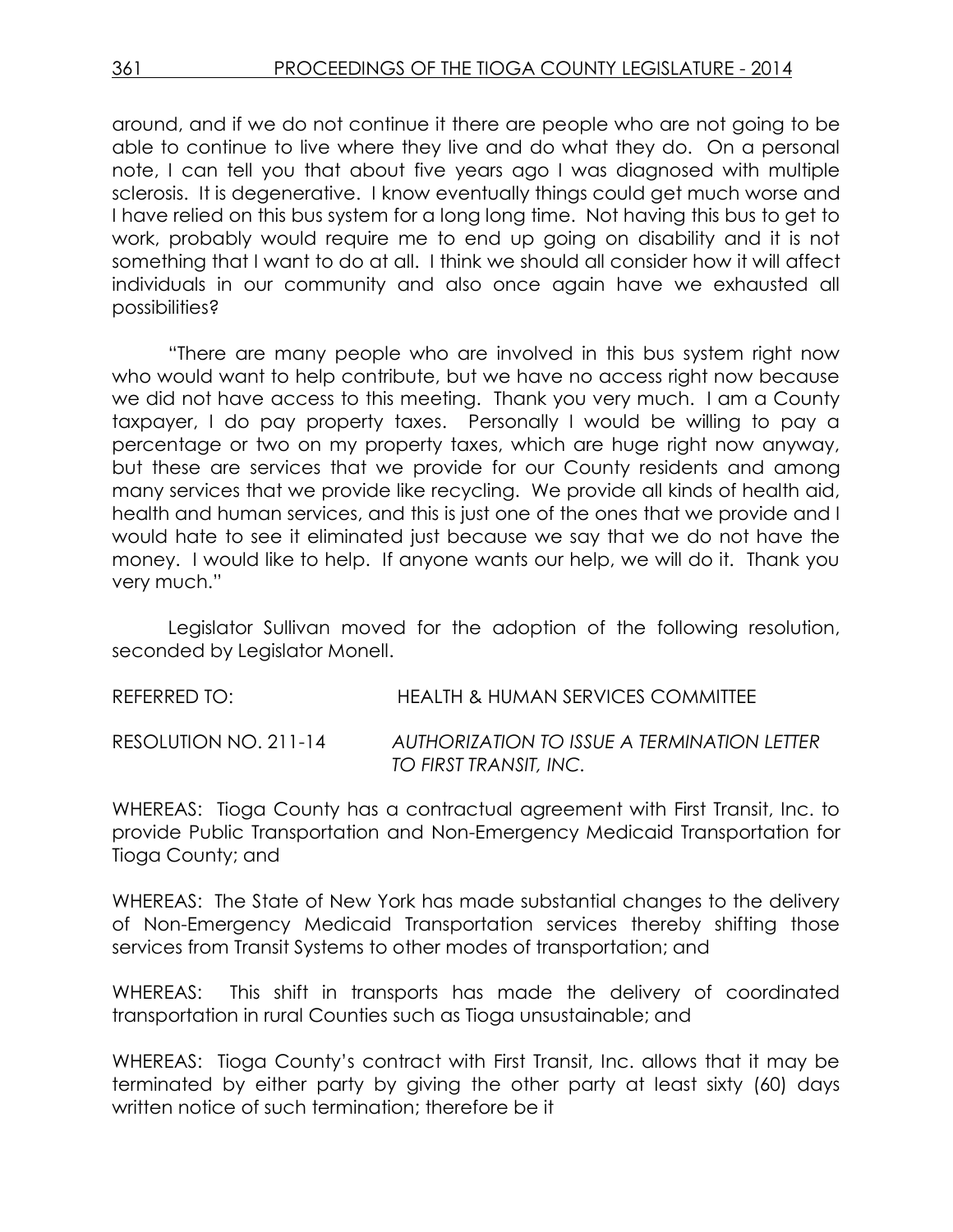around, and if we do not continue it there are people who are not going to be able to continue to live where they live and do what they do. On a personal note, I can tell you that about five years ago I was diagnosed with multiple sclerosis. It is degenerative. I know eventually things could get much worse and I have relied on this bus system for a long long time. Not having this bus to get to work, probably would require me to end up going on disability and it is not something that I want to do at all. I think we should all consider how it will affect individuals in our community and also once again have we exhausted all possibilities?

"There are many people who are involved in this bus system right now who would want to help contribute, but we have no access right now because we did not have access to this meeting. Thank you very much. I am a County taxpayer, I do pay property taxes. Personally I would be willing to pay a percentage or two on my property taxes, which are huge right now anyway, but these are services that we provide for our County residents and among many services that we provide like recycling. We provide all kinds of health aid, health and human services, and this is just one of the ones that we provide and I would hate to see it eliminated just because we say that we do not have the money. I would like to help. If anyone wants our help, we will do it. Thank you very much."

Legislator Sullivan moved for the adoption of the following resolution, seconded by Legislator Monell.

REFERRED TO: HEALTH & HUMAN SERVICES COMMITTEE

RESOLUTION NO. 211-14 *AUTHORIZATION TO ISSUE A TERMINATION LETTER TO FIRST TRANSIT, INC.*

WHEREAS: Tioga County has a contractual agreement with First Transit, Inc. to provide Public Transportation and Non-Emergency Medicaid Transportation for Tioga County; and

WHEREAS: The State of New York has made substantial changes to the delivery of Non-Emergency Medicaid Transportation services thereby shifting those services from Transit Systems to other modes of transportation; and

WHEREAS: This shift in transports has made the delivery of coordinated transportation in rural Counties such as Tioga unsustainable; and

WHEREAS: Tioga County's contract with First Transit, Inc. allows that it may be terminated by either party by giving the other party at least sixty (60) days written notice of such termination; therefore be it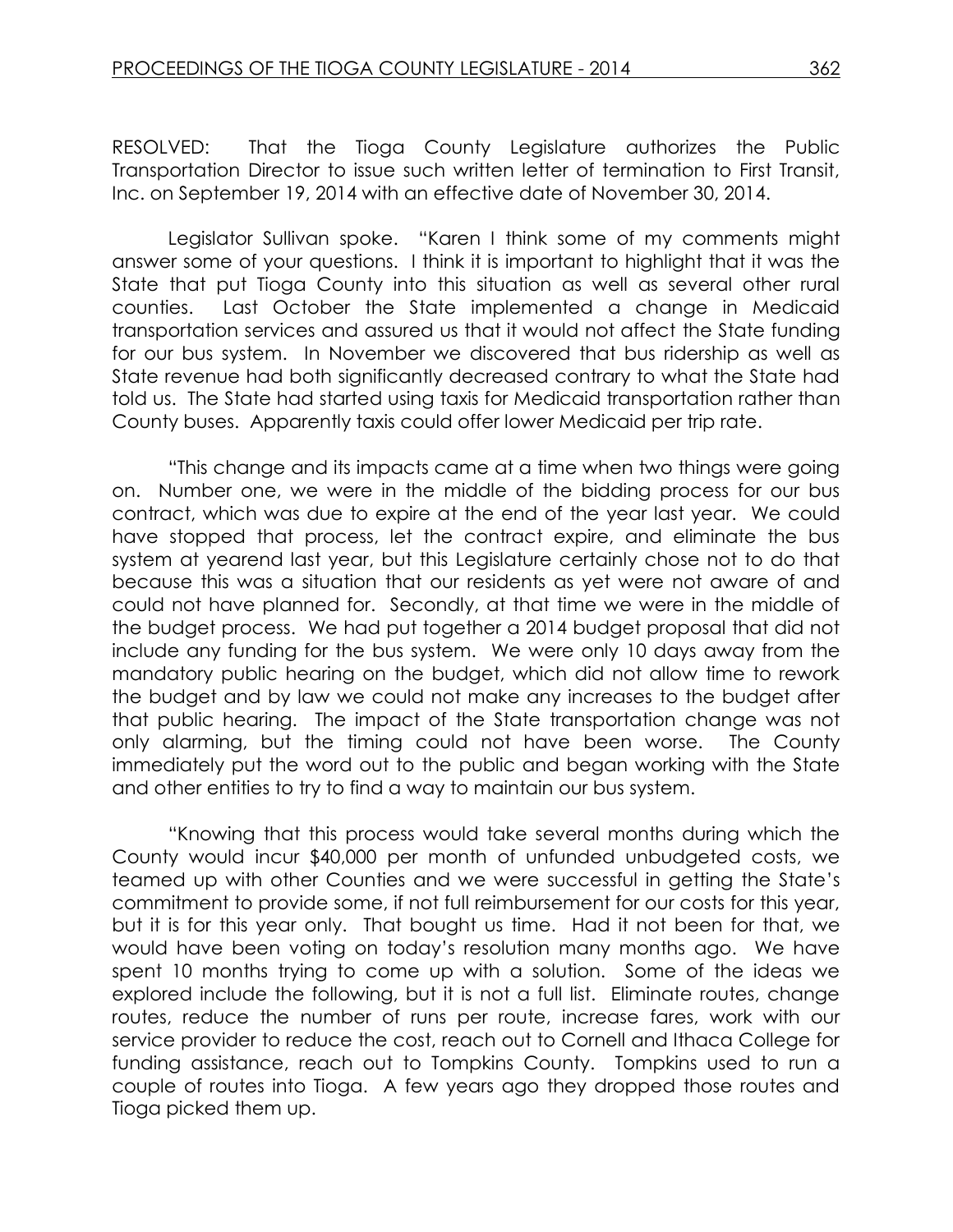RESOLVED: That the Tioga County Legislature authorizes the Public Transportation Director to issue such written letter of termination to First Transit, Inc. on September 19, 2014 with an effective date of November 30, 2014.

Legislator Sullivan spoke. "Karen I think some of my comments might answer some of your questions. I think it is important to highlight that it was the State that put Tioga County into this situation as well as several other rural counties. Last October the State implemented a change in Medicaid transportation services and assured us that it would not affect the State funding for our bus system. In November we discovered that bus ridership as well as State revenue had both significantly decreased contrary to what the State had told us. The State had started using taxis for Medicaid transportation rather than County buses. Apparently taxis could offer lower Medicaid per trip rate.

"This change and its impacts came at a time when two things were going on. Number one, we were in the middle of the bidding process for our bus contract, which was due to expire at the end of the year last year. We could have stopped that process, let the contract expire, and eliminate the bus system at yearend last year, but this Legislature certainly chose not to do that because this was a situation that our residents as yet were not aware of and could not have planned for. Secondly, at that time we were in the middle of the budget process. We had put together a 2014 budget proposal that did not include any funding for the bus system. We were only 10 days away from the mandatory public hearing on the budget, which did not allow time to rework the budget and by law we could not make any increases to the budget after that public hearing. The impact of the State transportation change was not only alarming, but the timing could not have been worse. The County immediately put the word out to the public and began working with the State and other entities to try to find a way to maintain our bus system.

"Knowing that this process would take several months during which the County would incur \$40,000 per month of unfunded unbudgeted costs, we teamed up with other Counties and we were successful in getting the State's commitment to provide some, if not full reimbursement for our costs for this year, but it is for this year only. That bought us time. Had it not been for that, we would have been voting on today's resolution many months ago. We have spent 10 months trying to come up with a solution. Some of the ideas we explored include the following, but it is not a full list. Eliminate routes, change routes, reduce the number of runs per route, increase fares, work with our service provider to reduce the cost, reach out to Cornell and Ithaca College for funding assistance, reach out to Tompkins County. Tompkins used to run a couple of routes into Tioga. A few years ago they dropped those routes and Tioga picked them up.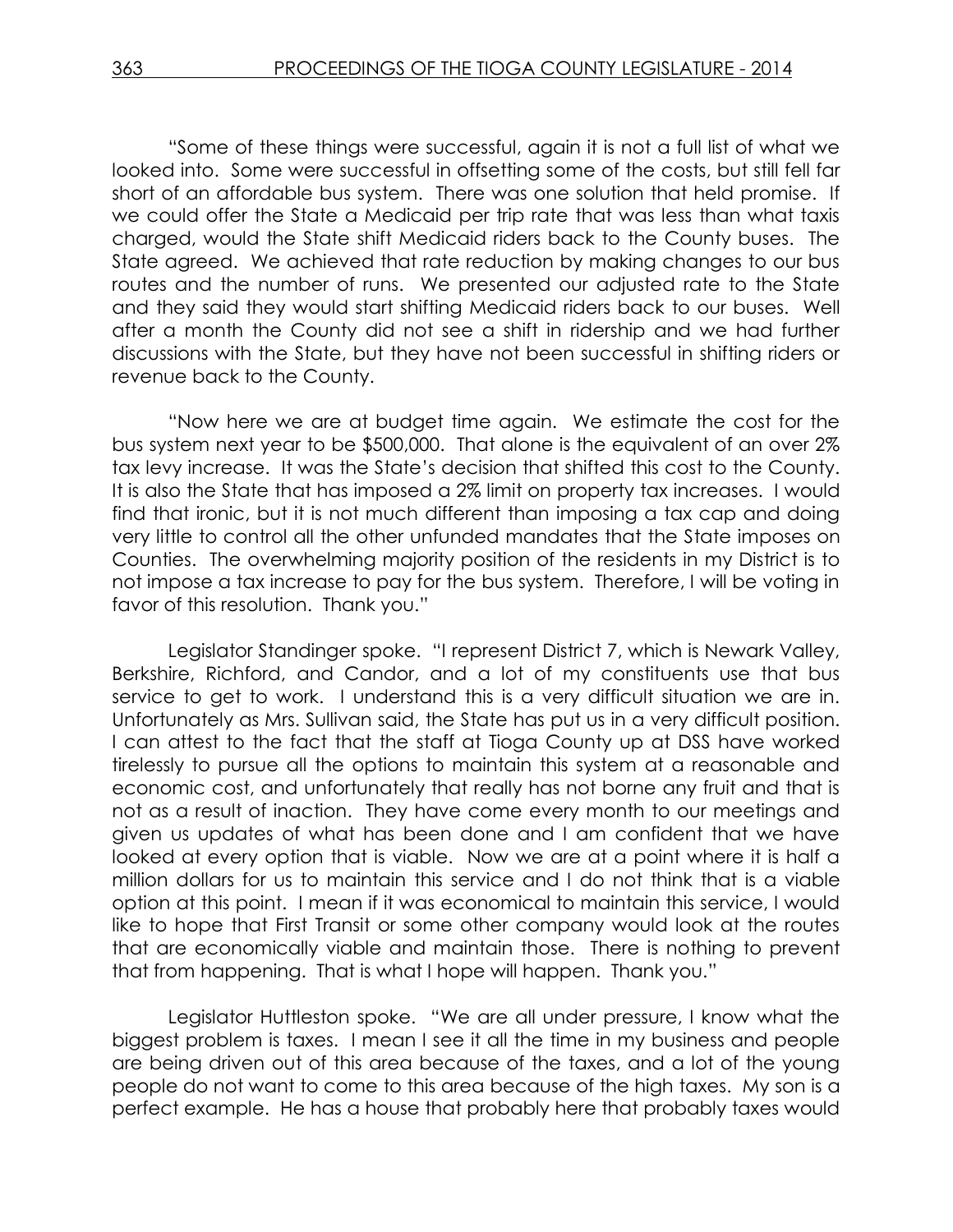"Some of these things were successful, again it is not a full list of what we looked into. Some were successful in offsetting some of the costs, but still fell far short of an affordable bus system. There was one solution that held promise. If we could offer the State a Medicaid per trip rate that was less than what taxis charged, would the State shift Medicaid riders back to the County buses. The State agreed. We achieved that rate reduction by making changes to our bus routes and the number of runs. We presented our adjusted rate to the State and they said they would start shifting Medicaid riders back to our buses. Well after a month the County did not see a shift in ridership and we had further discussions with the State, but they have not been successful in shifting riders or revenue back to the County.

"Now here we are at budget time again. We estimate the cost for the bus system next year to be \$500,000. That alone is the equivalent of an over 2% tax levy increase. It was the State's decision that shifted this cost to the County. It is also the State that has imposed a 2% limit on property tax increases. I would find that ironic, but it is not much different than imposing a tax cap and doing very little to control all the other unfunded mandates that the State imposes on Counties. The overwhelming majority position of the residents in my District is to not impose a tax increase to pay for the bus system. Therefore, I will be voting in favor of this resolution. Thank you."

Legislator Standinger spoke. "I represent District 7, which is Newark Valley, Berkshire, Richford, and Candor, and a lot of my constituents use that bus service to get to work. I understand this is a very difficult situation we are in. Unfortunately as Mrs. Sullivan said, the State has put us in a very difficult position. I can attest to the fact that the staff at Tioga County up at DSS have worked tirelessly to pursue all the options to maintain this system at a reasonable and economic cost, and unfortunately that really has not borne any fruit and that is not as a result of inaction. They have come every month to our meetings and given us updates of what has been done and I am confident that we have looked at every option that is viable. Now we are at a point where it is half a million dollars for us to maintain this service and I do not think that is a viable option at this point. I mean if it was economical to maintain this service, I would like to hope that First Transit or some other company would look at the routes that are economically viable and maintain those. There is nothing to prevent that from happening. That is what I hope will happen. Thank you."

Legislator Huttleston spoke. "We are all under pressure, I know what the biggest problem is taxes. I mean I see it all the time in my business and people are being driven out of this area because of the taxes, and a lot of the young people do not want to come to this area because of the high taxes. My son is a perfect example. He has a house that probably here that probably taxes would